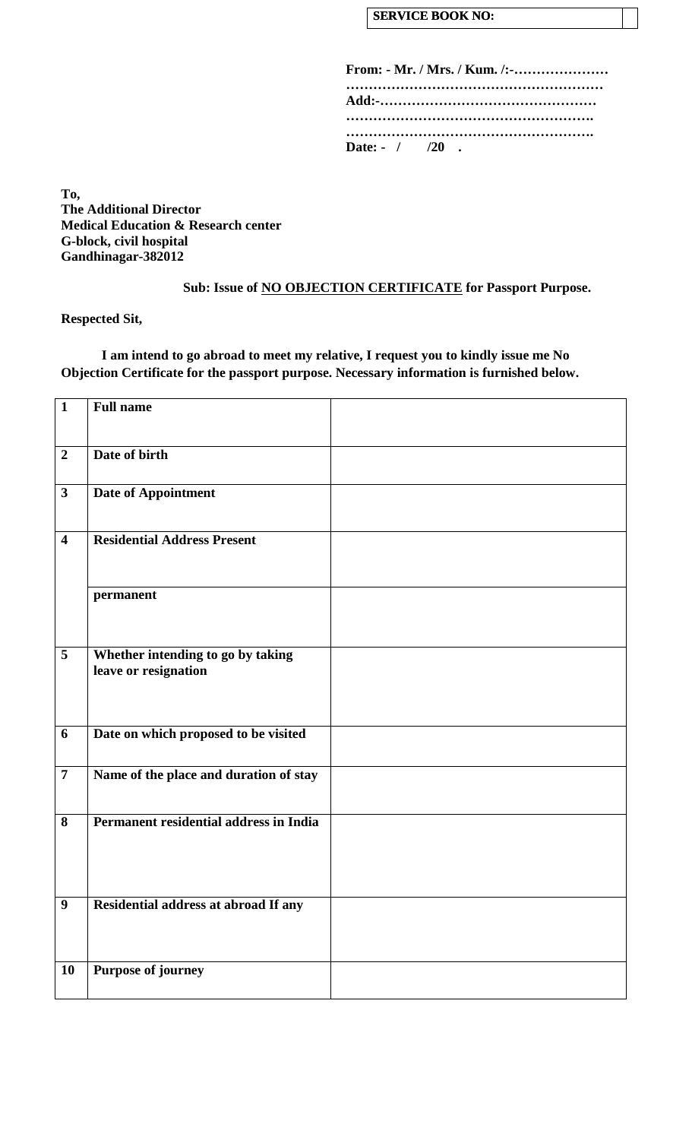### **SERVICE BOOK NO:**

| From: - Mr. / Mrs. / Kum. /:- |  |  |  |  |  |  |  |  |
|-------------------------------|--|--|--|--|--|--|--|--|
|                               |  |  |  |  |  |  |  |  |
|                               |  |  |  |  |  |  |  |  |
| Date: $- / 20$ .              |  |  |  |  |  |  |  |  |

**To, The Additional Director Medical Education & Research center G-block, civil hospital Gandhinagar-382012**

**Sub: Issue of NO OBJECTION CERTIFICATE for Passport Purpose.**

**Respected Sit,**

**I am intend to go abroad to meet my relative, I request you to kindly issue me No Objection Certificate for the passport purpose. Necessary information is furnished below.**

| $\mathbf{1}$            | <b>Full name</b>                                          |  |
|-------------------------|-----------------------------------------------------------|--|
|                         |                                                           |  |
| $\overline{2}$          | Date of birth                                             |  |
| $\mathbf{3}$            | Date of Appointment                                       |  |
|                         |                                                           |  |
| $\overline{\mathbf{4}}$ | <b>Residential Address Present</b>                        |  |
|                         |                                                           |  |
|                         | permanent                                                 |  |
|                         |                                                           |  |
| 5                       | Whether intending to go by taking<br>leave or resignation |  |
|                         |                                                           |  |
| 6                       | Date on which proposed to be visited                      |  |
| $\overline{7}$          | Name of the place and duration of stay                    |  |
|                         |                                                           |  |
| 8                       | Permanent residential address in India                    |  |
|                         |                                                           |  |
|                         |                                                           |  |
|                         |                                                           |  |
| 9                       | Residential address at abroad If any                      |  |
|                         |                                                           |  |
| 10                      | <b>Purpose of journey</b>                                 |  |
|                         |                                                           |  |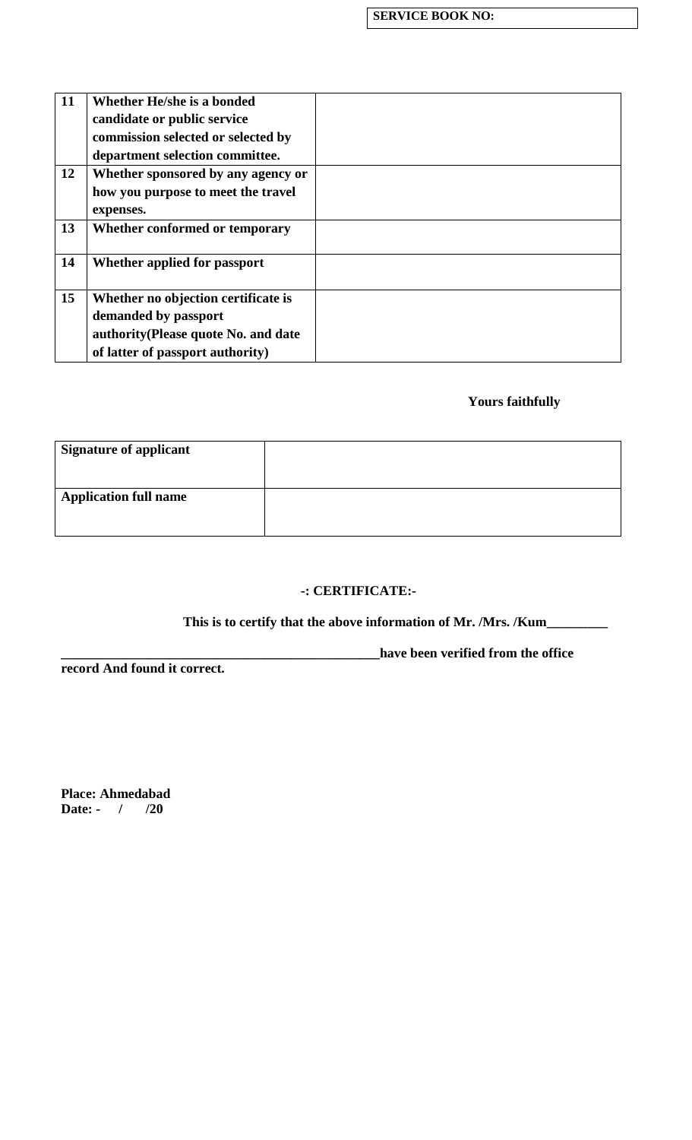| Whether He/she is a bonded           |  |
|--------------------------------------|--|
| candidate or public service          |  |
| commission selected or selected by   |  |
| department selection committee.      |  |
| Whether sponsored by any agency or   |  |
| how you purpose to meet the travel   |  |
| expenses.                            |  |
| Whether conformed or temporary       |  |
|                                      |  |
| Whether applied for passport         |  |
|                                      |  |
| Whether no objection certificate is  |  |
| demanded by passport                 |  |
| authority (Please quote No. and date |  |
| of latter of passport authority)     |  |
|                                      |  |

# **Yours faithfully**

| <b>Signature of applicant</b> |  |
|-------------------------------|--|
| <b>Application full name</b>  |  |

## **-: CERTIFICATE:-**

## **This is to certify that the above information of Mr. /Mrs. /Kum\_\_\_\_\_\_\_\_\_**

**record And found it correct.**

**\_\_\_\_\_\_\_\_\_\_\_\_\_\_\_\_\_\_\_\_\_\_\_\_\_\_\_\_\_\_\_\_\_\_\_\_\_\_\_\_\_\_\_\_\_\_\_have been verified from the office** 

**Place: Ahmedabad Date: - / /20**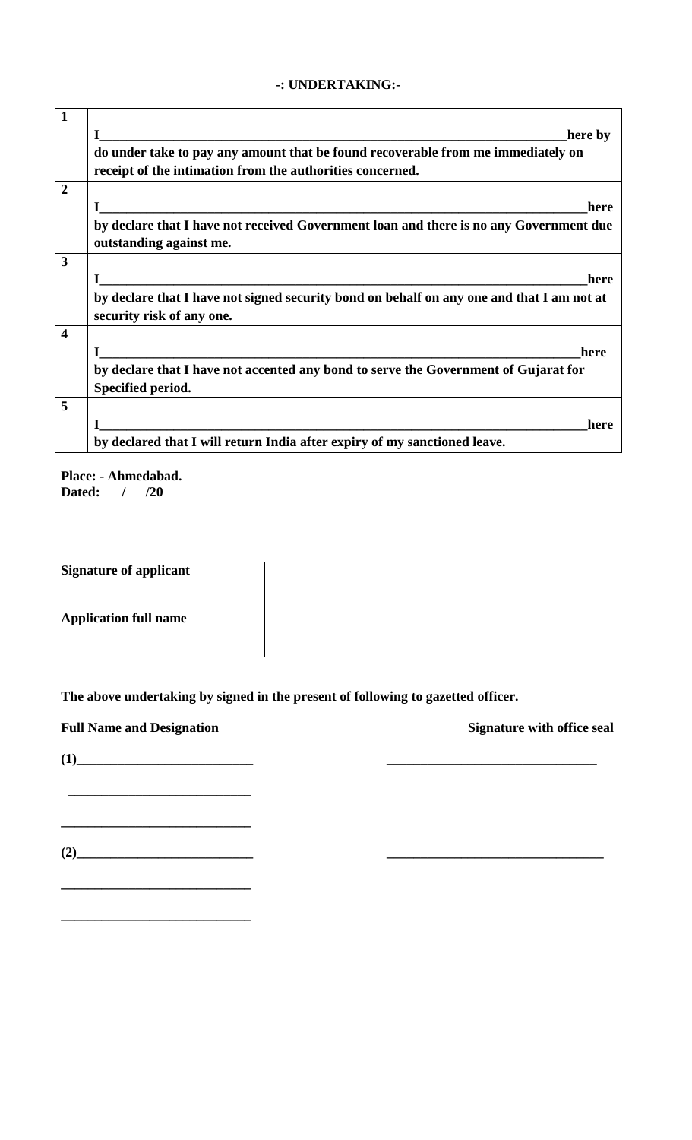#### **-: UNDERTAKING:-**

| 1                       |                                                                                                                                               |
|-------------------------|-----------------------------------------------------------------------------------------------------------------------------------------------|
|                         | here by                                                                                                                                       |
|                         | do under take to pay any amount that be found recoverable from me immediately on<br>receipt of the intimation from the authorities concerned. |
| $\overline{2}$          |                                                                                                                                               |
|                         | here                                                                                                                                          |
|                         | by declare that I have not received Government loan and there is no any Government due<br>outstanding against me.                             |
|                         |                                                                                                                                               |
| 3                       |                                                                                                                                               |
|                         | here<br><u> 2000 - Antonio Alemania, amerikan menyebarkan perangan perangan perangan perangan perangan perangan perangan</u>                  |
|                         | by declare that I have not signed security bond on behalf on any one and that I am not at<br>security risk of any one.                        |
| $\overline{\mathbf{4}}$ |                                                                                                                                               |
|                         | here                                                                                                                                          |
|                         | by declare that I have not accented any bond to serve the Government of Gujarat for                                                           |
|                         | Specified period.                                                                                                                             |
| 5                       |                                                                                                                                               |
|                         | here                                                                                                                                          |
|                         | by declared that I will return India after expiry of my sanctioned leave.                                                                     |

**Place: - Ahmedabad. Dated: / /20**

| <b>Signature of applicant</b> |  |
|-------------------------------|--|
| <b>Application full name</b>  |  |

**The above undertaking by signed in the present of following to gazetted officer.**

**Full Name and Designation Signature with office seal**

**(1)\_\_\_\_\_\_\_\_\_\_\_\_\_\_\_\_\_\_\_\_\_\_\_\_\_\_ \_\_\_\_\_\_\_\_\_\_\_\_\_\_\_\_\_\_\_\_\_\_\_\_\_\_\_\_\_\_\_**

 **\_\_\_\_\_\_\_\_\_\_\_\_\_\_\_\_\_\_\_\_\_\_\_\_\_\_\_**

**(2)\_\_\_\_\_\_\_\_\_\_\_\_\_\_\_\_\_\_\_\_\_\_\_\_\_\_ \_\_\_\_\_\_\_\_\_\_\_\_\_\_\_\_\_\_\_\_\_\_\_\_\_\_\_\_\_\_\_\_**

**\_\_\_\_\_\_\_\_\_\_\_\_\_\_\_\_\_\_\_\_\_\_\_\_\_\_\_\_**

**\_\_\_\_\_\_\_\_\_\_\_\_\_\_\_\_\_\_\_\_\_\_\_\_\_\_\_\_**

**\_\_\_\_\_\_\_\_\_\_\_\_\_\_\_\_\_\_\_\_\_\_\_\_\_\_\_\_**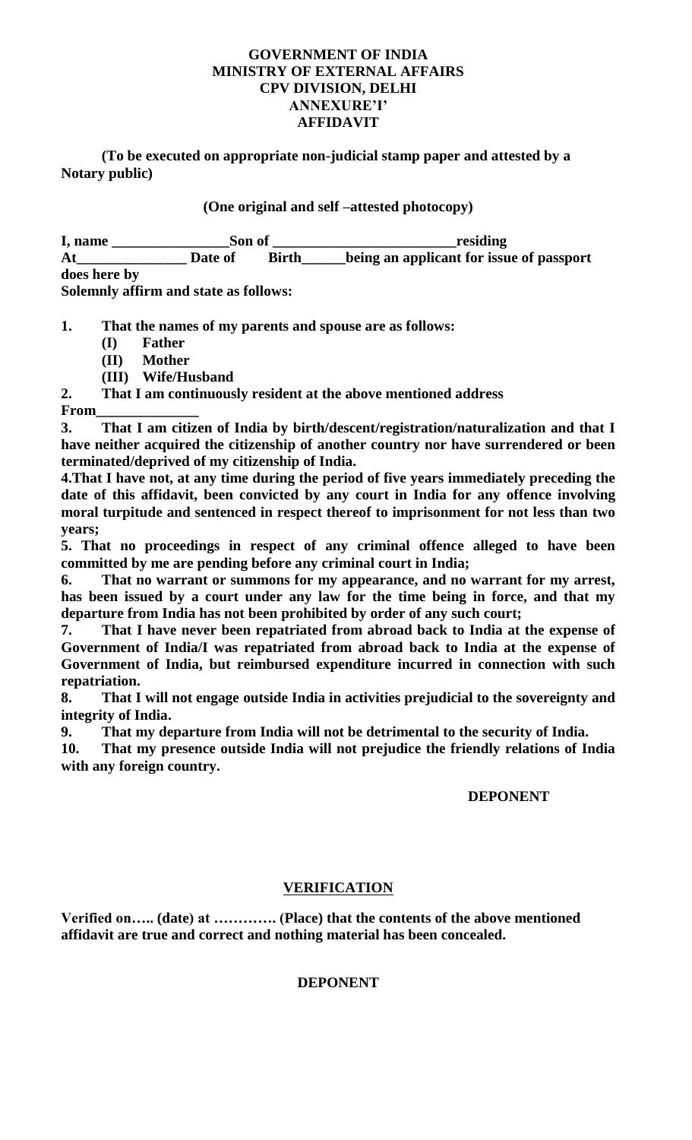## **GOVERNMENT OF INDIA MINISTRY OF EXTERNAL AFFAIRS CPV DIVISION, DELHI ANNEXURE'I' AFFIDAVIT**

**(To be executed on appropriate non-judicial stamp paper and attested by a Notary public)**

**(One original and self –attested photocopy)**

| I, name                           | Son of                                                                            |              | residing                                 |
|-----------------------------------|-----------------------------------------------------------------------------------|--------------|------------------------------------------|
| At                                | Date of                                                                           | <b>Birth</b> | being an applicant for issue of passport |
| does here by                      |                                                                                   |              |                                          |
| $\mathsf{C}$ . I are $\mathsf{C}$ | $\blacksquare$ . The set of the set of $\blacksquare$ . The set of $\blacksquare$ |              |                                          |

**Solemnly affirm and state as follows:**

**1. That the names of my parents and spouse are as follows:**

- **(I) Father**
- **(II) Mother**
- **(III) Wife/Husband**

**2. That I am continuously resident at the above mentioned address From\_\_\_\_\_\_\_\_\_\_\_\_\_\_**

**3. That I am citizen of India by birth/descent/registration/naturalization and that I have neither acquired the citizenship of another country nor have surrendered or been terminated/deprived of my citizenship of India.**

**4.That I have not, at any time during the period of five years immediately preceding the date of this affidavit, been convicted by any court in India for any offence involving moral turpitude and sentenced in respect thereof to imprisonment for not less than two years;**

**5. That no proceedings in respect of any criminal offence alleged to have been committed by me are pending before any criminal court in India;**

**6. That no warrant or summons for my appearance, and no warrant for my arrest, has been issued by a court under any law for the time being in force, and that my departure from India has not been prohibited by order of any such court;**

**7. That I have never been repatriated from abroad back to India at the expense of Government of India/I was repatriated from abroad back to India at the expense of Government of India, but reimbursed expenditure incurred in connection with such repatriation.**

**8. That I will not engage outside India in activities prejudicial to the sovereignty and integrity of India.**

**9. That my departure from India will not be detrimental to the security of India.**

**10. That my presence outside India will not prejudice the friendly relations of India with any foreign country.**

## **DEPONENT**

# **VERIFICATION**

**Verified on….. (date) at …………. (Place) that the contents of the above mentioned affidavit are true and correct and nothing material has been concealed.**

## **DEPONENT**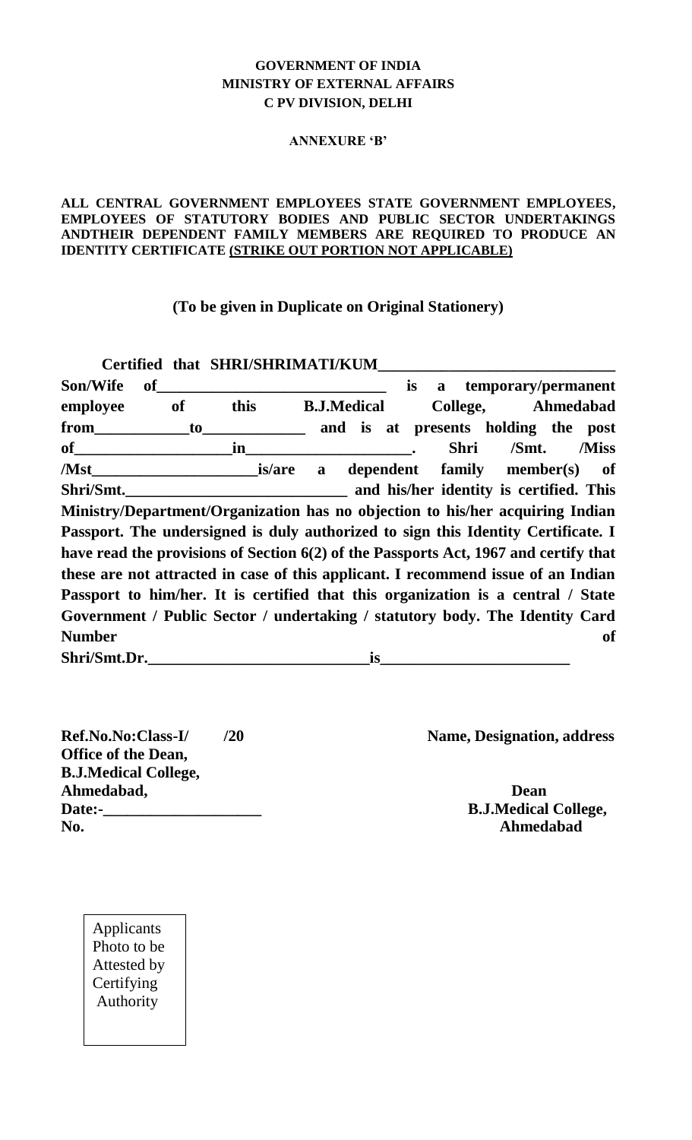## **GOVERNMENT OF INDIA MINISTRY OF EXTERNAL AFFAIRS C PV DIVISION, DELHI**

#### **ANNEXURE 'B'**

#### **ALL CENTRAL GOVERNMENT EMPLOYEES STATE GOVERNMENT EMPLOYEES, EMPLOYEES OF STATUTORY BODIES AND PUBLIC SECTOR UNDERTAKINGS ANDTHEIR DEPENDENT FAMILY MEMBERS ARE REQUIRED TO PRODUCE AN IDENTITY CERTIFICATE (STRIKE OUT PORTION NOT APPLICABLE)**

**(To be given in Duplicate on Original Stationery)**

|               |    |    | Certified that SHRI/SHRIMATI/KUM                                                     |                    |                  |           |             |          |           |                                         |
|---------------|----|----|--------------------------------------------------------------------------------------|--------------------|------------------|-----------|-------------|----------|-----------|-----------------------------------------|
| Son/Wife      | of |    |                                                                                      |                    |                  | <i>is</i> |             |          |           | a temporary/permanent                   |
| employee      |    | of | this                                                                                 | <b>B.J.Medical</b> |                  |           |             | College, |           | Ahmedabad                               |
| from          |    | to |                                                                                      |                    |                  |           |             |          |           | and is at presents holding the post     |
| $\mathbf{of}$ |    |    | in                                                                                   |                    |                  |           | <b>Shri</b> |          | /Smt.     | /Miss                                   |
| /Mst          |    |    | <i>is/are</i>                                                                        | a                  | dependent family |           |             |          | member(s) | of                                      |
| Shri/Smt.     |    |    |                                                                                      |                    |                  |           |             |          |           | and his/her identity is certified. This |
|               |    |    | Ministry/Department/Organization has no objection to his/her acquiring Indian        |                    |                  |           |             |          |           |                                         |
|               |    |    | Passport. The undersigned is duly authorized to sign this Identity Certificate. I    |                    |                  |           |             |          |           |                                         |
|               |    |    | have read the provisions of Section 6(2) of the Passports Act, 1967 and certify that |                    |                  |           |             |          |           |                                         |
|               |    |    | these are not attracted in case of this applicant. I recommend issue of an Indian    |                    |                  |           |             |          |           |                                         |
|               |    |    | Passport to him/her. It is certified that this organization is a central / State     |                    |                  |           |             |          |           |                                         |
|               |    |    | Government / Public Sector / undertaking / statutory body. The Identity Card         |                    |                  |           |             |          |           |                                         |
| <b>Number</b> |    |    |                                                                                      |                    |                  |           |             |          |           | <b>of</b>                               |
| Shri/Smt.Dr.  |    |    |                                                                                      |                    | is               |           |             |          |           |                                         |

**Office of the Dean, B.J.Medical College, Ahmedabad, Dean Date:-\_\_\_\_\_\_\_\_\_\_\_\_\_\_\_\_\_\_\_\_ B.J.Medical College, No. Ahmedabad**

**Ref.No.No:Class-I/ /20 Name, Designation, address**

Applicants Photo to be Attested by **Certifying** Authority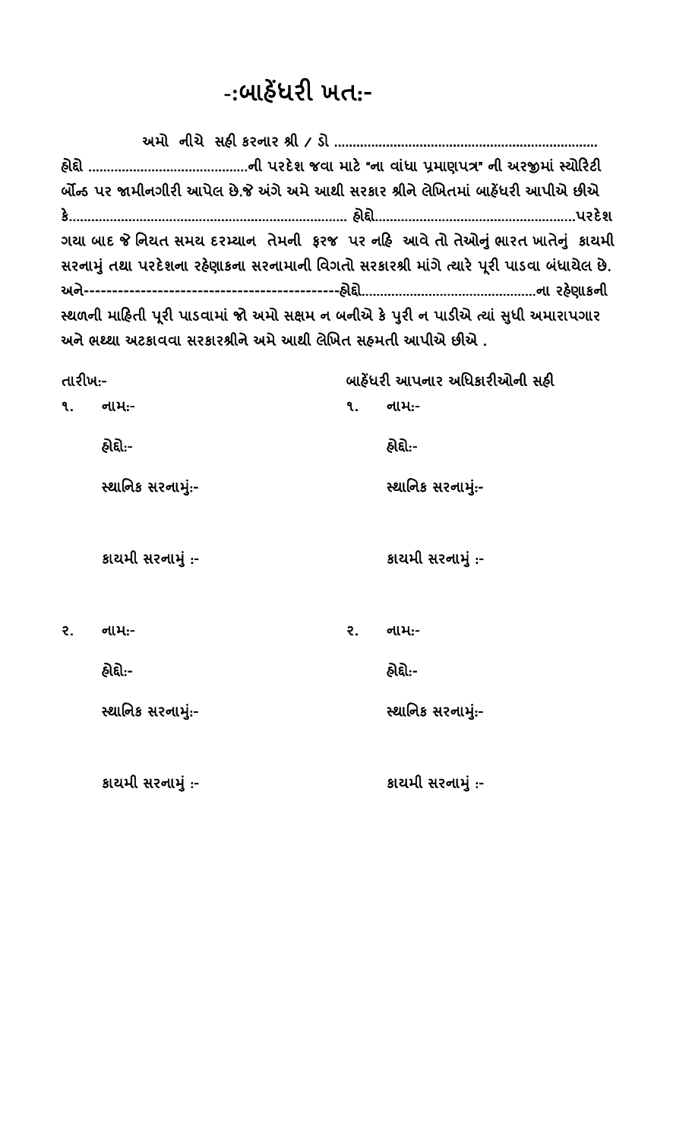# **-:**બાહેંધરી ખત:-

| ર્બોન્ડ પર જામીનગીરી આપેલ છે.જે અંગે અમે આથી સરકાર શ્રીને લેખિતમાં બાહેંધરી આપીએ છીએ      |  |
|-------------------------------------------------------------------------------------------|--|
|                                                                                           |  |
| ગયા બાદ જે નિયત સમય દરમ્યાન તેમની ફરજ પર નહિ આવે તો તેઓનું ભારત ખાતેનું કાયમી             |  |
| સરનામું તથા પરદેશના રહેણાકના સરનામાની વિગતો સરકારશ્રી માંગે ત્યારે પૂરી પાડવા બંધાયેલ છે. |  |
|                                                                                           |  |
| સ્થળની માહિતી પૂરી પાડવામાં જો અમો સક્ષમ ન બનીએ કે પુરી ન પાડીએ ત્યાં સુધી અમારાપગાર      |  |
| અને ભથ્થા અટકાવવા સરકારશ્રીને અમે આથી લેખિત સહમતી આપીએ છીએ .                              |  |

| તારીખઃ- |                   | બાહેંધરી આપનાર અધિકારીઓની સહી |                   |  |  |  |
|---------|-------------------|-------------------------------|-------------------|--|--|--|
| ۹.      | નામ:-             | ۹.                            | નામ:-             |  |  |  |
|         | હ્રોદ્દો:-        |                               | હોદ્દો:-          |  |  |  |
|         | સ્થાનિક સરનામું:- |                               | સ્થાનિક સરનામું:- |  |  |  |
|         | કાચમી સરનામું :-  |                               | કાચમી સરનામું :-  |  |  |  |
| २.      | નામ:-             | २.                            | નામ:-             |  |  |  |
|         | હ્રોદ્દો:-        |                               | હોદ્દો:-          |  |  |  |
|         | સ્થાનિક સરનામું:- |                               | સ્થાનિક સરનામું:- |  |  |  |
|         | કાચમી સરનામું :-  |                               | કાચમી સરનામું :-  |  |  |  |